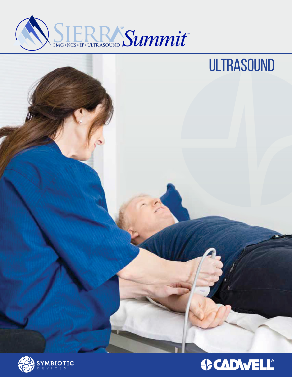





## **OCADWELL®**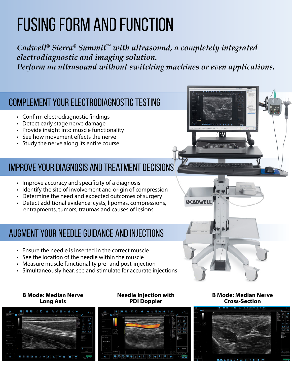# Fusing form and function

*Cadwell® Sierra® Summit™ with ultrasound, a completely integrated electrodiagnostic and imaging solution. Perform an ultrasound without switching machines or even applications.*

### Complement your electrodiagnostic testing

- Confirm electrodiagnostic findings
- Detect early stage nerve damage
- Provide insight into muscle functionality
- See how movement effects the nerve
- Study the nerve along its entire course

## Improve your diagnosis and treatment decisions

- Improve accuracy and specificity of a diagnosis
- Identify the site of involvement and origin of compression
- Determine the need and expected outcomes of surgery
- Detect additional evidence: cysts, lipomas, compressions, entrapments, tumors, traumas and causes of lesions

### Augment Your Needle Guidance and Injections

- Ensure the needle is inserted in the correct muscle
- See the location of the needle within the muscle
- Measure muscle functionality pre- and post-injection
- Simultaneously hear, see and stimulate for accurate injections

### **B Mode: Median Nerve Long Axis**



### **Needle Injection with PDI Doppler**



### **B Mode: Median Nerve Cross-Section**



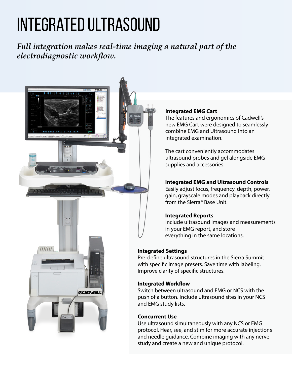# Integrated Ultrasound

*Full integration makes real-time imaging a natural part of the electrodiagnostic workflow.*



### **Integrated EMG Cart**

The features and ergonomics of Cadwell's new EMG Cart were designed to seamlessly combine EMG and Ultrasound into an integrated examination.

The cart conveniently accommodates ultrasound probes and gel alongside EMG supplies and accessories.

### **Integrated EMG and Ultrasound Controls**

Easily adjust focus, frequency, depth, power, gain, grayscale modes and playback directly from the Sierra® Base Unit.

### **Integrated Reports**

Include ultrasound images and measurements in your EMG report, and store everything in the same locations.

### **Integrated Settings**

Pre-define ultrasound structures in the Sierra Summit with specific image presets. Save time with labeling. Improve clarity of specific structures.

#### **Integrated Workflow**

Switch between ultrasound and EMG or NCS with the push of a button. Include ultrasound sites in your NCS and EMG study lists.

### **Concurrent Use**

Use ultrasound simultaneously with any NCS or EMG protocol. Hear, see, and stim for more accurate injections and needle guidance. Combine imaging with any nerve study and create a new and unique protocol.